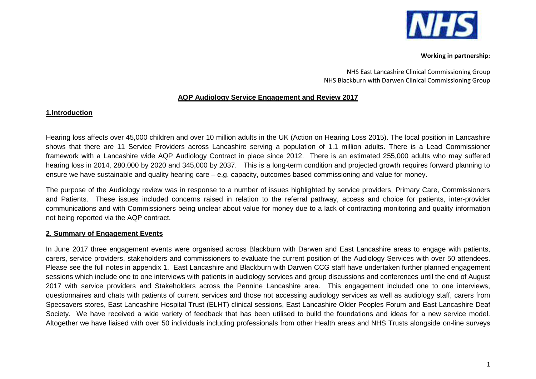

NHS East Lancashire Clinical Commissioning Group NHS Blackburn with Darwen Clinical Commissioning Group

## **AQP Audiology Service Engagement and Review 2017**

### **1.Introduction**

Hearing loss affects over 45,000 children and over 10 million adults in the UK (Action on Hearing Loss 2015). The local position in Lancashire shows that there are 11 Service Providers across Lancashire serving a population of 1.1 million adults. There is a Lead Commissioner framework with a Lancashire wide AQP Audiology Contract in place since 2012. There is an estimated 255,000 adults who may suffered hearing loss in 2014, 280,000 by 2020 and 345,000 by 2037. This is a long-term condition and projected growth requires forward planning to ensure we have sustainable and quality hearing care – e.g. capacity, outcomes based commissioning and value for money.

The purpose of the Audiology review was in response to a number of issues highlighted by service providers, Primary Care, Commissioners and Patients. These issues included concerns raised in relation to the referral pathway, access and choice for patients, inter-provider communications and with Commissioners being unclear about value for money due to a lack of contracting monitoring and quality information not being reported via the AQP contract.

## **2. Summary of Engagement Events**

In June 2017 three engagement events were organised across Blackburn with Darwen and East Lancashire areas to engage with patients, carers, service providers, stakeholders and commissioners to evaluate the current position of the Audiology Services with over 50 attendees. Please see the full notes in appendix 1. East Lancashire and Blackburn with Darwen CCG staff have undertaken further planned engagement sessions which include one to one interviews with patients in audiology services and group discussions and conferences until the end of August 2017 with service providers and Stakeholders across the Pennine Lancashire area. This engagement included one to one interviews, questionnaires and chats with patients of current services and those not accessing audiology services as well as audiology staff, carers from Specsavers stores, East Lancashire Hospital Trust (ELHT) clinical sessions, East Lancashire Older Peoples Forum and East Lancashire Deaf Society. We have received a wide variety of feedback that has been utilised to build the foundations and ideas for a new service model. Altogether we have liaised with over 50 individuals including professionals from other Health areas and NHS Trusts alongside on-line surveys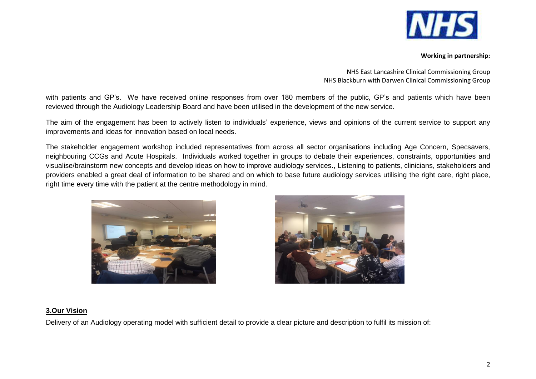

NHS East Lancashire Clinical Commissioning Group NHS Blackburn with Darwen Clinical Commissioning Group

with patients and GP's. We have received online responses from over 180 members of the public, GP's and patients which have been reviewed through the Audiology Leadership Board and have been utilised in the development of the new service.

The aim of the engagement has been to actively listen to individuals' experience, views and opinions of the current service to support any improvements and ideas for innovation based on local needs.

The stakeholder engagement workshop included representatives from across all sector organisations including Age Concern, Specsavers, neighbouring CCGs and Acute Hospitals. Individuals worked together in groups to debate their experiences, constraints, opportunities and visualise/brainstorm new concepts and develop ideas on how to improve audiology services., Listening to patients, clinicians, stakeholders and providers enabled a great deal of information to be shared and on which to base future audiology services utilising the right care, right place, right time every time with the patient at the centre methodology in mind.





### **3.Our Vision**

Delivery of an Audiology operating model with sufficient detail to provide a clear picture and description to fulfil its mission of: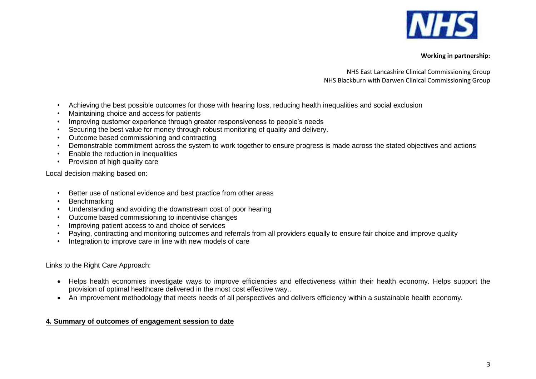

NHS East Lancashire Clinical Commissioning Group NHS Blackburn with Darwen Clinical Commissioning Group

- Achieving the best possible outcomes for those with hearing loss, reducing health inequalities and social exclusion
- Maintaining choice and access for patients
- Improving customer experience through greater responsiveness to people's needs
- Securing the best value for money through robust monitoring of quality and delivery.
- Outcome based commissioning and contracting
- Demonstrable commitment across the system to work together to ensure progress is made across the stated objectives and actions
- Enable the reduction in inequalities
- Provision of high quality care

Local decision making based on:

- Better use of national evidence and best practice from other areas
- Benchmarking
- Understanding and avoiding the downstream cost of poor hearing
- Outcome based commissioning to incentivise changes
- Improving patient access to and choice of services
- Paying, contracting and monitoring outcomes and referrals from all providers equally to ensure fair choice and improve quality
- Integration to improve care in line with new models of care

Links to the Right Care Approach:

- Helps health economies investigate ways to improve efficiencies and effectiveness within their health economy. Helps support the provision of optimal healthcare delivered in the most cost effective way..
- An improvement methodology that meets needs of all perspectives and delivers efficiency within a sustainable health economy.

# **4. Summary of outcomes of engagement session to date**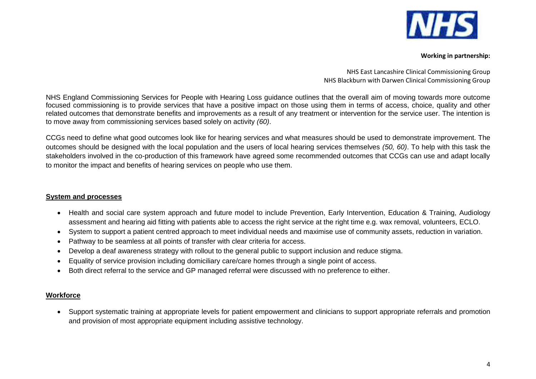

NHS East Lancashire Clinical Commissioning Group NHS Blackburn with Darwen Clinical Commissioning Group

NHS England Commissioning Services for People with Hearing Loss guidance outlines that the overall aim of moving towards more outcome focused commissioning is to provide services that have a positive impact on those using them in terms of access, choice, quality and other related outcomes that demonstrate benefits and improvements as a result of any treatment or intervention for the service user. The intention is to move away from commissioning services based solely on activity *(60)*.

CCGs need to define what good outcomes look like for hearing services and what measures should be used to demonstrate improvement. The outcomes should be designed with the local population and the users of local hearing services themselves *(50, 60)*. To help with this task the stakeholders involved in the co-production of this framework have agreed some recommended outcomes that CCGs can use and adapt locally to monitor the impact and benefits of hearing services on people who use them.

### **System and processes**

- Health and social care system approach and future model to include Prevention, Early Intervention, Education & Training, Audiology assessment and hearing aid fitting with patients able to access the right service at the right time e.g. wax removal, volunteers, ECLO.
- System to support a patient centred approach to meet individual needs and maximise use of community assets, reduction in variation.
- Pathway to be seamless at all points of transfer with clear criteria for access.
- Develop a deaf awareness strategy with rollout to the general public to support inclusion and reduce stigma.
- Equality of service provision including domiciliary care/care homes through a single point of access.
- Both direct referral to the service and GP managed referral were discussed with no preference to either.

## **Workforce**

 Support systematic training at appropriate levels for patient empowerment and clinicians to support appropriate referrals and promotion and provision of most appropriate equipment including assistive technology.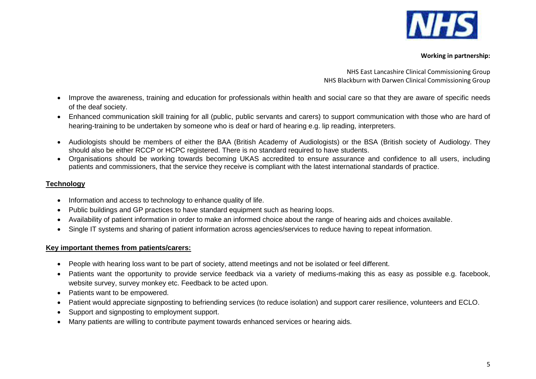

NHS East Lancashire Clinical Commissioning Group NHS Blackburn with Darwen Clinical Commissioning Group

- Improve the awareness, training and education for professionals within health and social care so that they are aware of specific needs of the deaf society.
- Enhanced communication skill training for all (public, public servants and carers) to support communication with those who are hard of hearing-training to be undertaken by someone who is deaf or hard of hearing e.g. lip reading, interpreters.
- Audiologists should be members of either the BAA (British Academy of Audiologists) or the BSA (British society of Audiology. They should also be either RCCP or HCPC registered. There is no standard required to have students.
- Organisations should be working towards becoming UKAS accredited to ensure assurance and confidence to all users, including patients and commissioners, that the service they receive is compliant with the latest international standards of practice.

# **Technology**

- Information and access to technology to enhance quality of life.
- Public buildings and GP practices to have standard equipment such as hearing loops.
- Availability of patient information in order to make an informed choice about the range of hearing aids and choices available.
- Single IT systems and sharing of patient information across agencies/services to reduce having to repeat information.

## **Key important themes from patients/carers:**

- People with hearing loss want to be part of society, attend meetings and not be isolated or feel different.
- Patients want the opportunity to provide service feedback via a variety of mediums-making this as easy as possible e.g. facebook, website survey, survey monkey etc. Feedback to be acted upon.
- Patients want to be empowered.
- Patient would appreciate signposting to befriending services (to reduce isolation) and support carer resilience, volunteers and ECLO.
- Support and signposting to employment support.
- Many patients are willing to contribute payment towards enhanced services or hearing aids.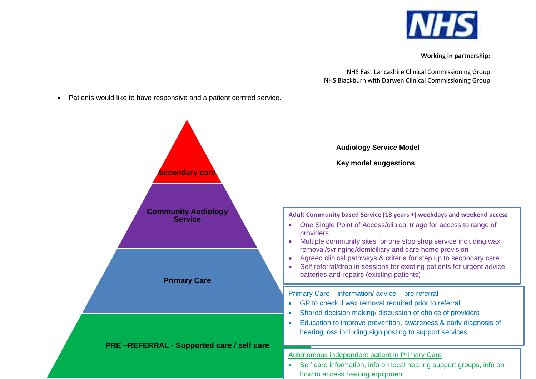

NHS East Lancashire Clinical Commissioning Group NHS Blackburn with Darwen Clinical Commissioning Group

Patients would like to have responsive and a patient centred service.